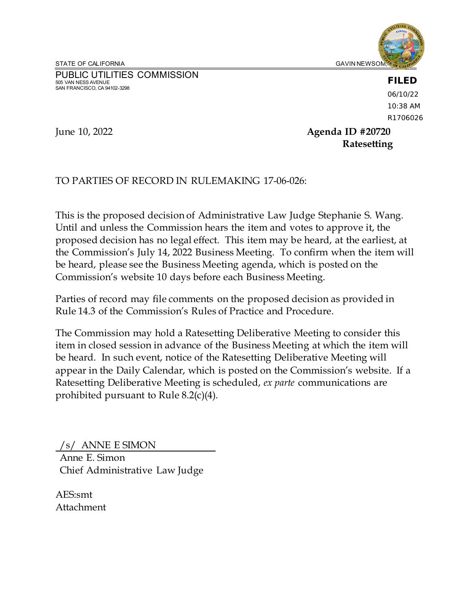STATE OF CALIFORNIA GAVIN NEWSOM, GAVIN NEWSOM, GAVIN NEWSOM, GAVIN NEWSOM, GAVIN NEWSOM, GAVIN NEWSOM, GAVIN NEWSOM,

PUBLIC UTILITIES COMMISSION 505 VAN NESS AVENUE SAN FRANCISCO, CA 94102-3298



# **FILED**

06/10/22 10:38 AM R1706026

June 10, 2022 **Agenda ID #20720 Ratesetting**

TO PARTIES OF RECORD IN RULEMAKING 17-06-026:

This is the proposed decision of Administrative Law Judge Stephanie S. Wang. Until and unless the Commission hears the item and votes to approve it, the proposed decision has no legal effect. This item may be heard, at the earliest, at the Commission's July 14, 2022 Business Meeting. To confirm when the item will be heard, please see the Business Meeting agenda, which is posted on the Commission's website 10 days before each Business Meeting.

Parties of record may file comments on the proposed decision as provided in Rule 14.3 of the Commission's Rules of Practice and Procedure.

The Commission may hold a Ratesetting Deliberative Meeting to consider this item in closed session in advance of the Business Meeting at which the item will be heard. In such event, notice of the Ratesetting Deliberative Meeting will appear in the Daily Calendar, which is posted on the Commission's website. If a Ratesetting Deliberative Meeting is scheduled, *ex parte* communications are prohibited pursuant to Rule 8.2(c)(4).

/s/ ANNE E SIMON Anne E. Simon Chief Administrative Law Judge

AES:smt Attachment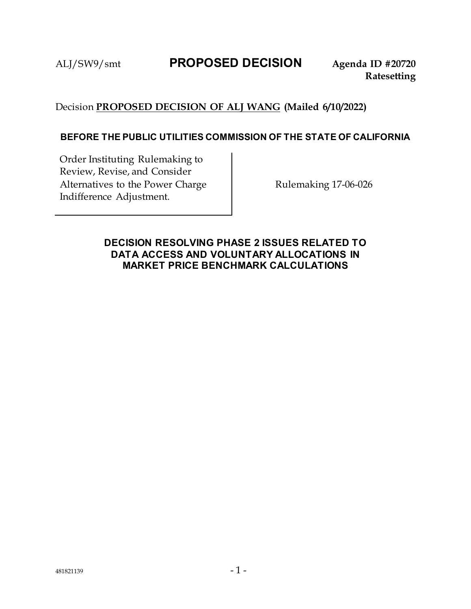# ALJ/SW9/smt **PROPOSED DECISION Agenda ID #20720**

# Decision **PROPOSED DECISION OF ALJ WANG (Mailed 6/10/2022)**

## **BEFORE THE PUBLIC UTILITIES COMMISSION OF THE STATE OF CALIFORNIA**

Order Instituting Rulemaking to Review, Revise, and Consider Alternatives to the Power Charge Indifference Adjustment.

Rulemaking 17-06-026

# <span id="page-1-0"></span>**DECISION RESOLVING PHASE 2 ISSUES RELATED TO DATA ACCESS AND VOLUNTARY ALLOCATIONS IN MARKET PRICE BENCHMARK CALCULATIONS**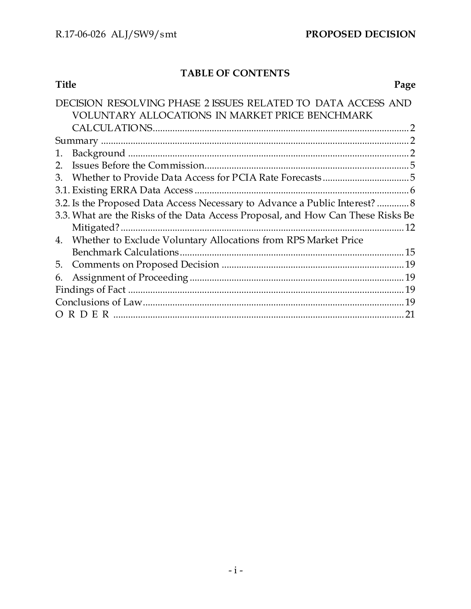# **TABLE OF CONTENTS**

| Title |                                                                                                                 | Page |
|-------|-----------------------------------------------------------------------------------------------------------------|------|
|       | DECISION RESOLVING PHASE 2 ISSUES RELATED TO DATA ACCESS AND<br>VOLUNTARY ALLOCATIONS IN MARKET PRICE BENCHMARK |      |
|       |                                                                                                                 |      |
|       |                                                                                                                 |      |
| 1.    |                                                                                                                 |      |
|       |                                                                                                                 |      |
| 3.    |                                                                                                                 |      |
|       |                                                                                                                 |      |
|       | 3.2. Is the Proposed Data Access Necessary to Advance a Public Interest?  8                                     |      |
|       | 3.3. What are the Risks of the Data Access Proposal, and How Can These Risks Be                                 |      |
|       | Mitigated?.                                                                                                     |      |
| 4.    | Whether to Exclude Voluntary Allocations from RPS Market Price                                                  |      |
|       |                                                                                                                 |      |
| 5.    |                                                                                                                 |      |
| 6.    |                                                                                                                 |      |
|       |                                                                                                                 |      |
|       |                                                                                                                 | .19  |
|       |                                                                                                                 |      |
|       |                                                                                                                 |      |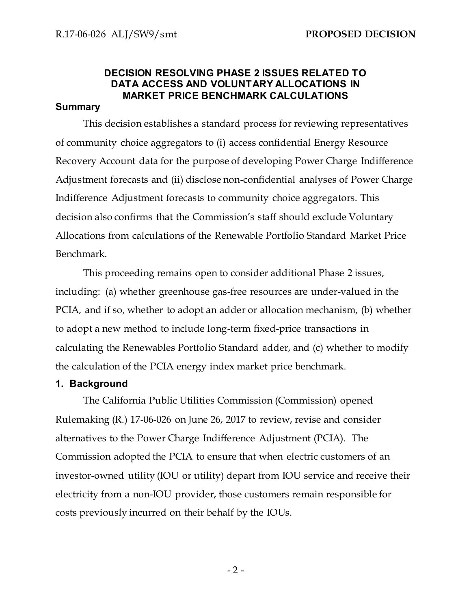# **DECISION RESOLVING PHASE 2 ISSUES RELATED TO DATA ACCESS AND VOLUNTARY ALLOCATIONS IN MARKET PRICE BENCHMARK CALCULATIONS**

### <span id="page-3-0"></span>**Summary**

This decision establishes a standard process for reviewing representatives of community choice aggregators to (i) access confidential Energy Resource Recovery Account data for the purpose of developing Power Charge Indifference Adjustment forecasts and (ii) disclose non-confidential analyses of Power Charge Indifference Adjustment forecasts to community choice aggregators. This decision also confirms that the Commission's staff should exclude Voluntary Allocations from calculations of the Renewable Portfolio Standard Market Price Benchmark.

This proceeding remains open to consider additional Phase 2 issues, including: (a) whether greenhouse gas-free resources are under-valued in the PCIA, and if so, whether to adopt an adder or allocation mechanism, (b) whether to adopt a new method to include long-term fixed-price transactions in calculating the Renewables Portfolio Standard adder, and (c) whether to modify the calculation of the PCIA energy index market price benchmark.

# <span id="page-3-1"></span>**1. Background**

The California Public Utilities Commission (Commission) opened Rulemaking (R.) 17-06-026 on June 26, 2017 to review, revise and consider alternatives to the Power Charge Indifference Adjustment (PCIA). The Commission adopted the PCIA to ensure that when electric customers of an investor-owned utility (IOU or utility) depart from IOU service and receive their electricity from a non-IOU provider, those customers remain responsible for costs previously incurred on their behalf by the IOUs.

 $-2-$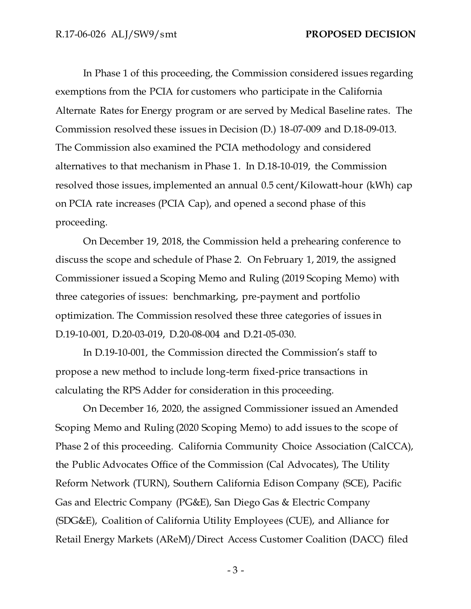In Phase 1 of this proceeding, the Commission considered issues regarding exemptions from the PCIA for customers who participate in the California Alternate Rates for Energy program or are served by Medical Baseline rates. The Commission resolved these issues in Decision (D.) 18-07-009 and D.18-09-013. The Commission also examined the PCIA methodology and considered alternatives to that mechanism in Phase 1. In D.18-10-019, the Commission resolved those issues, implemented an annual 0.5 cent/Kilowatt-hour (kWh) cap on PCIA rate increases (PCIA Cap), and opened a second phase of this proceeding.

On December 19, 2018, the Commission held a prehearing conference to discuss the scope and schedule of Phase 2. On February 1, 2019, the assigned Commissioner issued a Scoping Memo and Ruling (2019 Scoping Memo) with three categories of issues: benchmarking, pre-payment and portfolio optimization. The Commission resolved these three categories of issues in D.19-10-001, D.20-03-019, D.20-08-004 and D.21-05-030.

In D.19-10-001, the Commission directed the Commission's staff to propose a new method to include long-term fixed-price transactions in calculating the RPS Adder for consideration in this proceeding.

On December 16, 2020, the assigned Commissioner issued an Amended Scoping Memo and Ruling (2020 Scoping Memo) to add issues to the scope of Phase 2 of this proceeding. California Community Choice Association (CalCCA), the Public Advocates Office of the Commission (Cal Advocates), The Utility Reform Network (TURN), Southern California Edison Company (SCE), Pacific Gas and Electric Company (PG&E), San Diego Gas & Electric Company (SDG&E), Coalition of California Utility Employees (CUE), and Alliance for Retail Energy Markets (AReM)/Direct Access Customer Coalition (DACC) filed

- 3 -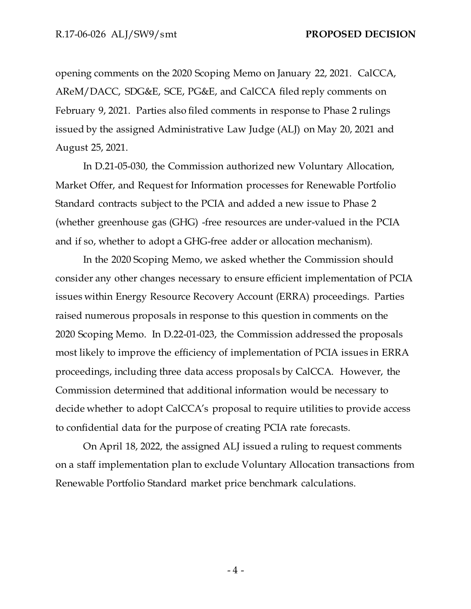opening comments on the 2020 Scoping Memo on January 22, 2021. CalCCA, AReM/DACC, SDG&E, SCE, PG&E, and CalCCA filed reply comments on February 9, 2021. Parties also filed comments in response to Phase 2 rulings issued by the assigned Administrative Law Judge (ALJ) on May 20, 2021 and August 25, 2021.

In D.21-05-030, the Commission authorized new Voluntary Allocation, Market Offer, and Request for Information processes for Renewable Portfolio Standard contracts subject to the PCIA and added a new issue to Phase 2 (whether greenhouse gas (GHG) -free resources are under-valued in the PCIA and if so, whether to adopt a GHG-free adder or allocation mechanism).

In the 2020 Scoping Memo, we asked whether the Commission should consider any other changes necessary to ensure efficient implementation of PCIA issues within Energy Resource Recovery Account (ERRA) proceedings. Parties raised numerous proposals in response to this question in comments on the 2020 Scoping Memo. In D.22-01-023, the Commission addressed the proposals most likely to improve the efficiency of implementation of PCIA issues in ERRA proceedings, including three data access proposals by CalCCA. However, the Commission determined that additional information would be necessary to decide whether to adopt CalCCA's proposal to require utilities to provide access to confidential data for the purpose of creating PCIA rate forecasts.

On April 18, 2022, the assigned ALJ issued a ruling to request comments on a staff implementation plan to exclude Voluntary Allocation transactions from Renewable Portfolio Standard market price benchmark calculations.

- 4 -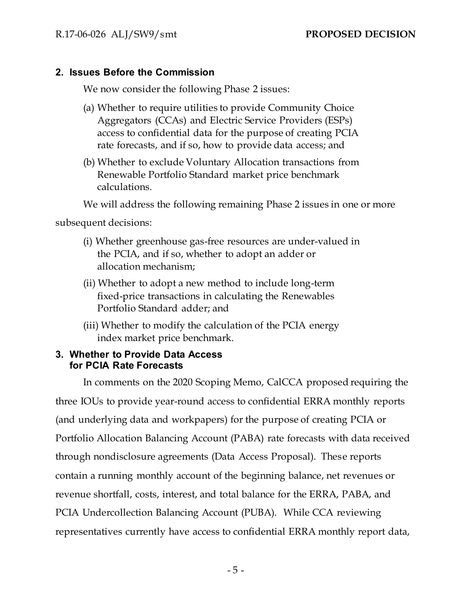# <span id="page-6-0"></span>**2. Issues Before the Commission**

We now consider the following Phase 2 issues:

- (a) Whether to require utilities to provide Community Choice Aggregators (CCAs) and Electric Service Providers (ESPs) access to confidential data for the purpose of creating PCIA rate forecasts, and if so, how to provide data access; and
- (b) Whether to exclude Voluntary Allocation transactions from Renewable Portfolio Standard market price benchmark calculations.

We will address the following remaining Phase 2 issues in one or more

subsequent decisions:

- (i) Whether greenhouse gas-free resources are under-valued in the PCIA, and if so, whether to adopt an adder or allocation mechanism;
- (ii) Whether to adopt a new method to include long-term fixed-price transactions in calculating the Renewables Portfolio Standard adder; and
- (iii) Whether to modify the calculation of the PCIA energy index market price benchmark.

# <span id="page-6-1"></span>**3. Whether to Provide Data Access for PCIA Rate Forecasts**

In comments on the 2020 Scoping Memo, CalCCA proposed requiring the three IOUs to provide year-round access to confidential ERRA monthly reports (and underlying data and workpapers) for the purpose of creating PCIA or Portfolio Allocation Balancing Account (PABA) rate forecasts with data received through nondisclosure agreements (Data Access Proposal). These reports contain a running monthly account of the beginning balance, net revenues or revenue shortfall, costs, interest, and total balance for the ERRA, PABA, and PCIA Undercollection Balancing Account (PUBA). While CCA reviewing representatives currently have access to confidential ERRA monthly report data,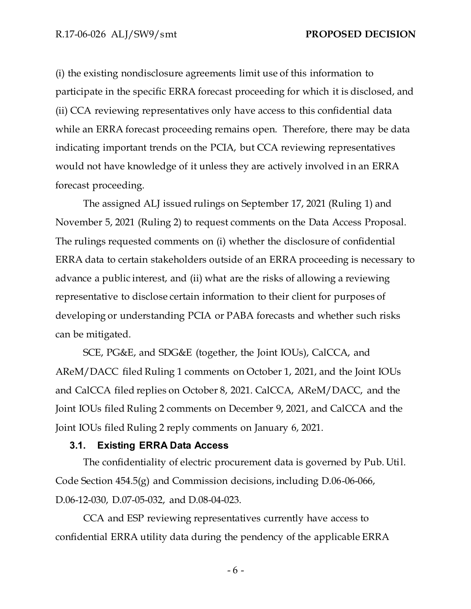(i) the existing nondisclosure agreements limit use of this information to participate in the specific ERRA forecast proceeding for which it is disclosed, and (ii) CCA reviewing representatives only have access to this confidential data while an ERRA forecast proceeding remains open. Therefore, there may be data indicating important trends on the PCIA, but CCA reviewing representatives would not have knowledge of it unless they are actively involved in an ERRA forecast proceeding.

The assigned ALJ issued rulings on September 17, 2021 (Ruling 1) and November 5, 2021 (Ruling 2) to request comments on the Data Access Proposal. The rulings requested comments on (i) whether the disclosure of confidential ERRA data to certain stakeholders outside of an ERRA proceeding is necessary to advance a public interest, and (ii) what are the risks of allowing a reviewing representative to disclose certain information to their client for purposes of developing or understanding PCIA or PABA forecasts and whether such risks can be mitigated.

SCE, PG&E, and SDG&E (together, the Joint IOUs), CalCCA, and AReM/DACC filed Ruling 1 comments on October 1, 2021, and the Joint IOUs and CalCCA filed replies on October 8, 2021. CalCCA, AReM/DACC, and the Joint IOUs filed Ruling 2 comments on December 9, 2021, and CalCCA and the Joint IOUs filed Ruling 2 reply comments on January 6, 2021.

#### <span id="page-7-0"></span>**3.1. Existing ERRA Data Access**

The confidentiality of electric procurement data is governed by Pub. Util. Code Section 454.5(g) and Commission decisions, including D.06-06-066, D.06-12-030, D.07-05-032, and D.08-04-023.

CCA and ESP reviewing representatives currently have access to confidential ERRA utility data during the pendency of the applicable ERRA

- 6 -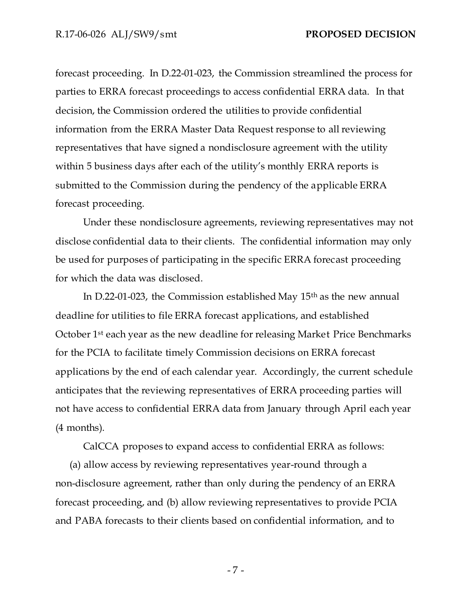forecast proceeding. In D.22-01-023, the Commission streamlined the process for parties to ERRA forecast proceedings to access confidential ERRA data. In that decision, the Commission ordered the utilities to provide confidential information from the ERRA Master Data Request response to all reviewing representatives that have signed a nondisclosure agreement with the utility within 5 business days after each of the utility's monthly ERRA reports is submitted to the Commission during the pendency of the applicable ERRA forecast proceeding.

Under these nondisclosure agreements, reviewing representatives may not disclose confidential data to their clients. The confidential information may only be used for purposes of participating in the specific ERRA forecast proceeding for which the data was disclosed.

In D.22-01-023, the Commission established May 15th as the new annual deadline for utilities to file ERRA forecast applications, and established October 1st each year as the new deadline for releasing Market Price Benchmarks for the PCIA to facilitate timely Commission decisions on ERRA forecast applications by the end of each calendar year. Accordingly, the current schedule anticipates that the reviewing representatives of ERRA proceeding parties will not have access to confidential ERRA data from January through April each year (4 months).

CalCCA proposes to expand access to confidential ERRA as follows:

(a) allow access by reviewing representatives year-round through a non-disclosure agreement, rather than only during the pendency of an ERRA forecast proceeding, and (b) allow reviewing representatives to provide PCIA and PABA forecasts to their clients based on confidential information, and to

- 7 -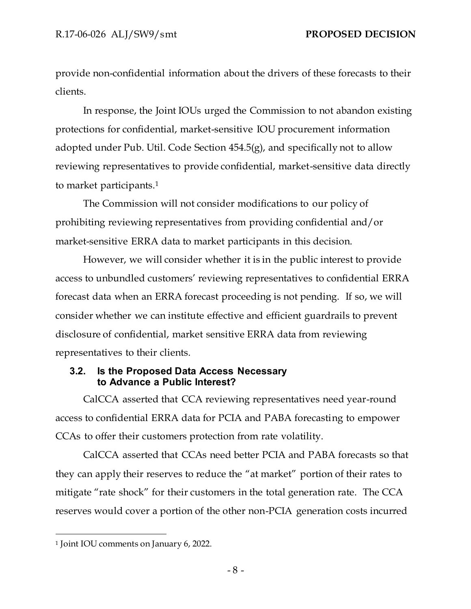provide non-confidential information about the drivers of these forecasts to their clients.

In response, the Joint IOUs urged the Commission to not abandon existing protections for confidential, market-sensitive IOU procurement information adopted under Pub. Util. Code Section 454.5(g), and specifically not to allow reviewing representatives to provide confidential, market-sensitive data directly to market participants.<sup>1</sup>

The Commission will not consider modifications to our policy of prohibiting reviewing representatives from providing confidential and/or market-sensitive ERRA data to market participants in this decision.

However, we will consider whether it is in the public interest to provide access to unbundled customers' reviewing representatives to confidential ERRA forecast data when an ERRA forecast proceeding is not pending. If so, we will consider whether we can institute effective and efficient guardrails to prevent disclosure of confidential, market sensitive ERRA data from reviewing representatives to their clients.

## <span id="page-9-0"></span>**3.2. Is the Proposed Data Access Necessary to Advance a Public Interest?**

CalCCA asserted that CCA reviewing representatives need year-round access to confidential ERRA data for PCIA and PABA forecasting to empower CCAs to offer their customers protection from rate volatility.

CalCCA asserted that CCAs need better PCIA and PABA forecasts so that they can apply their reserves to reduce the "at market" portion of their rates to mitigate "rate shock" for their customers in the total generation rate. The CCA reserves would cover a portion of the other non-PCIA generation costs incurred

<sup>1</sup> Joint IOU comments on January 6, 2022.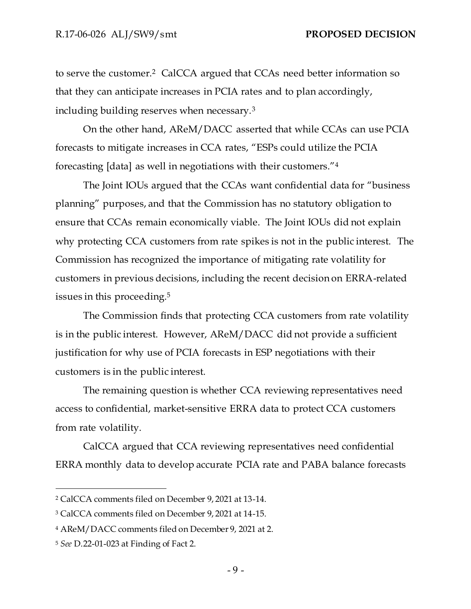to serve the customer.<sup>2</sup> CalCCA argued that CCAs need better information so that they can anticipate increases in PCIA rates and to plan accordingly, including building reserves when necessary.<sup>3</sup>

On the other hand, AReM/DACC asserted that while CCAs can use PCIA forecasts to mitigate increases in CCA rates, "ESPs could utilize the PCIA forecasting [data] as well in negotiations with their customers."<sup>4</sup>

The Joint IOUs argued that the CCAs want confidential data for "business planning" purposes, and that the Commission has no statutory obligation to ensure that CCAs remain economically viable. The Joint IOUs did not explain why protecting CCA customers from rate spikes is not in the public interest. The Commission has recognized the importance of mitigating rate volatility for customers in previous decisions, including the recent decision on ERRA-related issues in this proceeding.<sup>5</sup>

The Commission finds that protecting CCA customers from rate volatility is in the public interest. However, AReM/DACC did not provide a sufficient justification for why use of PCIA forecasts in ESP negotiations with their customers is in the public interest.

The remaining question is whether CCA reviewing representatives need access to confidential, market-sensitive ERRA data to protect CCA customers from rate volatility.

CalCCA argued that CCA reviewing representatives need confidential ERRA monthly data to develop accurate PCIA rate and PABA balance forecasts

- 9 -

<sup>2</sup> CalCCA comments filed on December 9, 2021 at 13-14.

<sup>3</sup> CalCCA comments filed on December 9, 2021 at 14-15.

<sup>4</sup> AReM/DACC comments filed on December 9, 2021 at 2.

<sup>5</sup> *See* D.22-01-023 at Finding of Fact 2.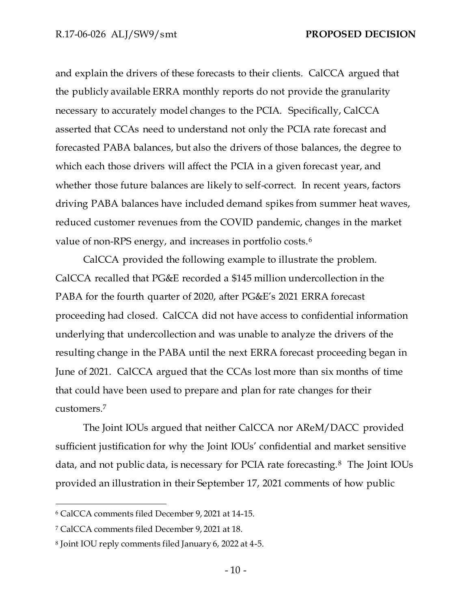and explain the drivers of these forecasts to their clients. CalCCA argued that the publicly available ERRA monthly reports do not provide the granularity necessary to accurately model changes to the PCIA. Specifically, CalCCA asserted that CCAs need to understand not only the PCIA rate forecast and forecasted PABA balances, but also the drivers of those balances, the degree to which each those drivers will affect the PCIA in a given forecast year, and whether those future balances are likely to self-correct. In recent years, factors driving PABA balances have included demand spikes from summer heat waves, reduced customer revenues from the COVID pandemic, changes in the market value of non-RPS energy, and increases in portfolio costs.<sup>6</sup>

CalCCA provided the following example to illustrate the problem. CalCCA recalled that PG&E recorded a \$145 million undercollection in the PABA for the fourth quarter of 2020, after PG&E's 2021 ERRA forecast proceeding had closed. CalCCA did not have access to confidential information underlying that undercollection and was unable to analyze the drivers of the resulting change in the PABA until the next ERRA forecast proceeding began in June of 2021. CalCCA argued that the CCAs lost more than six months of time that could have been used to prepare and plan for rate changes for their customers.<sup>7</sup>

The Joint IOUs argued that neither CalCCA nor AReM/DACC provided sufficient justification for why the Joint IOUs' confidential and market sensitive data, and not public data, is necessary for PCIA rate forecasting.<sup>8</sup> The Joint IOUs provided an illustration in their September 17, 2021 comments of how public

<sup>6</sup> CalCCA comments filed December 9, 2021 at 14-15.

<sup>7</sup> CalCCA comments filed December 9, 2021 at 18.

<sup>8</sup> Joint IOU reply comments filed January 6, 2022 at 4-5.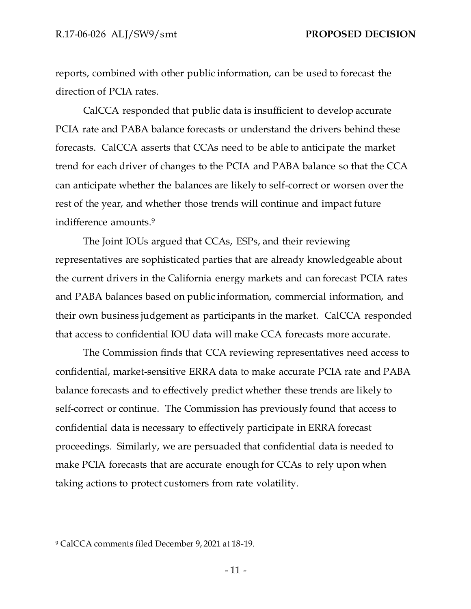reports, combined with other public information, can be used to forecast the direction of PCIA rates.

CalCCA responded that public data is insufficient to develop accurate PCIA rate and PABA balance forecasts or understand the drivers behind these forecasts. CalCCA asserts that CCAs need to be able to anticipate the market trend for each driver of changes to the PCIA and PABA balance so that the CCA can anticipate whether the balances are likely to self-correct or worsen over the rest of the year, and whether those trends will continue and impact future indifference amounts.<sup>9</sup>

The Joint IOUs argued that CCAs, ESPs, and their reviewing representatives are sophisticated parties that are already knowledgeable about the current drivers in the California energy markets and can forecast PCIA rates and PABA balances based on public information, commercial information, and their own business judgement as participants in the market. CalCCA responded that access to confidential IOU data will make CCA forecasts more accurate.

The Commission finds that CCA reviewing representatives need access to confidential, market-sensitive ERRA data to make accurate PCIA rate and PABA balance forecasts and to effectively predict whether these trends are likely to self-correct or continue. The Commission has previously found that access to confidential data is necessary to effectively participate in ERRA forecast proceedings. Similarly, we are persuaded that confidential data is needed to make PCIA forecasts that are accurate enough for CCAs to rely upon when taking actions to protect customers from rate volatility.

<sup>9</sup> CalCCA comments filed December 9, 2021 at 18-19.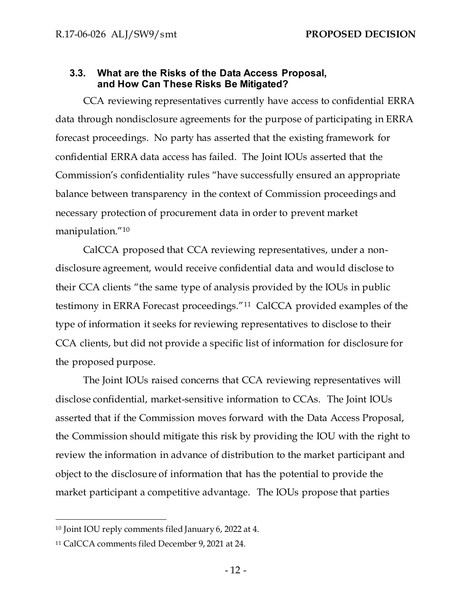# <span id="page-13-0"></span>**3.3. What are the Risks of the Data Access Proposal, and How Can These Risks Be Mitigated?**

CCA reviewing representatives currently have access to confidential ERRA data through nondisclosure agreements for the purpose of participating in ERRA forecast proceedings. No party has asserted that the existing framework for confidential ERRA data access has failed. The Joint IOUs asserted that the Commission's confidentiality rules "have successfully ensured an appropriate balance between transparency in the context of Commission proceedings and necessary protection of procurement data in order to prevent market manipulation."<sup>10</sup>

CalCCA proposed that CCA reviewing representatives, under a nondisclosure agreement, would receive confidential data and would disclose to their CCA clients "the same type of analysis provided by the IOUs in public testimony in ERRA Forecast proceedings."<sup>11</sup> CalCCA provided examples of the type of information it seeks for reviewing representatives to disclose to their CCA clients, but did not provide a specific list of information for disclosure for the proposed purpose.

The Joint IOUs raised concerns that CCA reviewing representatives will disclose confidential, market-sensitive information to CCAs. The Joint IOUs asserted that if the Commission moves forward with the Data Access Proposal, the Commission should mitigate this risk by providing the IOU with the right to review the information in advance of distribution to the market participant and object to the disclosure of information that has the potential to provide the market participant a competitive advantage. The IOUs propose that parties

<sup>10</sup> Joint IOU reply comments filed January 6, 2022 at 4.

<sup>11</sup> CalCCA comments filed December 9, 2021 at 24.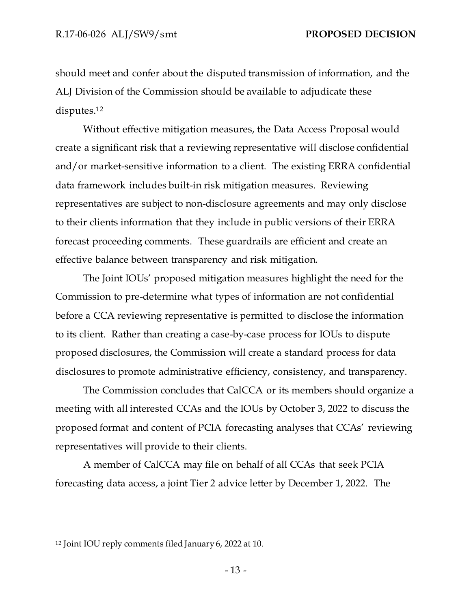should meet and confer about the disputed transmission of information, and the ALJ Division of the Commission should be available to adjudicate these disputes.<sup>12</sup>

Without effective mitigation measures, the Data Access Proposal would create a significant risk that a reviewing representative will disclose confidential and/or market-sensitive information to a client. The existing ERRA confidential data framework includes built-in risk mitigation measures. Reviewing representatives are subject to non-disclosure agreements and may only disclose to their clients information that they include in public versions of their ERRA forecast proceeding comments. These guardrails are efficient and create an effective balance between transparency and risk mitigation.

The Joint IOUs' proposed mitigation measures highlight the need for the Commission to pre-determine what types of information are not confidential before a CCA reviewing representative is permitted to disclose the information to its client. Rather than creating a case-by-case process for IOUs to dispute proposed disclosures, the Commission will create a standard process for data disclosures to promote administrative efficiency, consistency, and transparency.

The Commission concludes that CalCCA or its members should organize a meeting with all interested CCAs and the IOUs by October 3, 2022 to discuss the proposed format and content of PCIA forecasting analyses that CCAs' reviewing representatives will provide to their clients.

A member of CalCCA may file on behalf of all CCAs that seek PCIA forecasting data access, a joint Tier 2 advice letter by December 1, 2022. The

<sup>12</sup> Joint IOU reply comments filed January 6, 2022 at 10.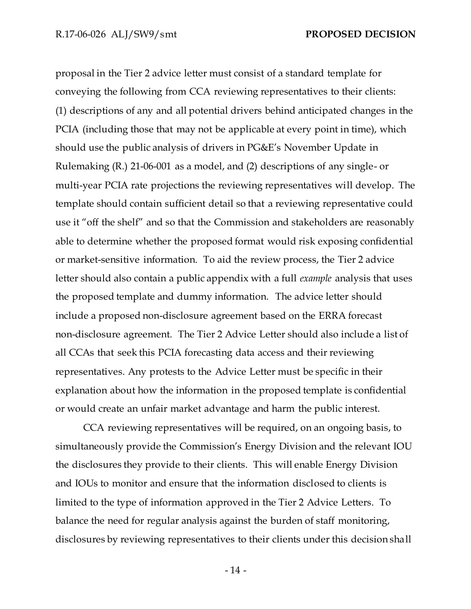proposal in the Tier 2 advice letter must consist of a standard template for conveying the following from CCA reviewing representatives to their clients: (1) descriptions of any and all potential drivers behind anticipated changes in the PCIA (including those that may not be applicable at every point in time), which should use the public analysis of drivers in PG&E's November Update in Rulemaking (R.) 21-06-001 as a model, and (2) descriptions of any single- or multi-year PCIA rate projections the reviewing representatives will develop. The template should contain sufficient detail so that a reviewing representative could use it "off the shelf" and so that the Commission and stakeholders are reasonably able to determine whether the proposed format would risk exposing confidential or market-sensitive information. To aid the review process, the Tier 2 advice letter should also contain a public appendix with a full *example* analysis that uses the proposed template and dummy information. The advice letter should include a proposed non-disclosure agreement based on the ERRA forecast non-disclosure agreement. The Tier 2 Advice Letter should also include a list of all CCAs that seek this PCIA forecasting data access and their reviewing representatives. Any protests to the Advice Letter must be specific in their explanation about how the information in the proposed template is confidential or would create an unfair market advantage and harm the public interest.

CCA reviewing representatives will be required, on an ongoing basis, to simultaneously provide the Commission's Energy Division and the relevant IOU the disclosures they provide to their clients. This will enable Energy Division and IOUs to monitor and ensure that the information disclosed to clients is limited to the type of information approved in the Tier 2 Advice Letters. To balance the need for regular analysis against the burden of staff monitoring, disclosures by reviewing representatives to their clients under this decision shall

- 14 -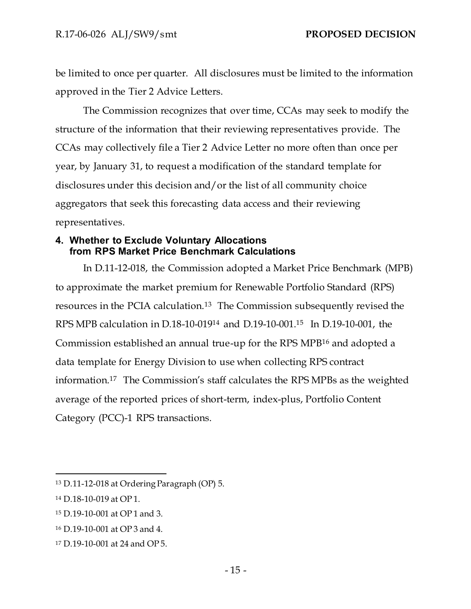be limited to once per quarter. All disclosures must be limited to the information approved in the Tier 2 Advice Letters.

The Commission recognizes that over time, CCAs may seek to modify the structure of the information that their reviewing representatives provide. The CCAs may collectively file a Tier 2 Advice Letter no more often than once per year, by January 31, to request a modification of the standard template for disclosures under this decision and/or the list of all community choice aggregators that seek this forecasting data access and their reviewing representatives.

# <span id="page-16-0"></span>**4. Whether to Exclude Voluntary Allocations from RPS Market Price Benchmark Calculations**

In D.11-12-018, the Commission adopted a Market Price Benchmark (MPB) to approximate the market premium for Renewable Portfolio Standard (RPS) resources in the PCIA calculation.<sup>13</sup> The Commission subsequently revised the RPS MPB calculation in D.18-10-019<sup>14</sup> and D.19-10-001.<sup>15</sup> In D.19-10-001, the Commission established an annual true-up for the RPS MPB<sup>16</sup> and adopted a data template for Energy Division to use when collecting RPS contract information.<sup>17</sup> The Commission's staff calculates the RPS MPBs as the weighted average of the reported prices of short-term, index-plus, Portfolio Content Category (PCC)-1 RPS transactions.

<sup>13</sup> D.11-12-018 at Ordering Paragraph (OP) 5.

<sup>14</sup> D.18-10-019 at OP 1.

<sup>15</sup> D.19-10-001 at OP 1 and 3.

<sup>16</sup> D.19-10-001 at OP 3 and 4.

<sup>17</sup> D.19-10-001 at 24 and OP 5.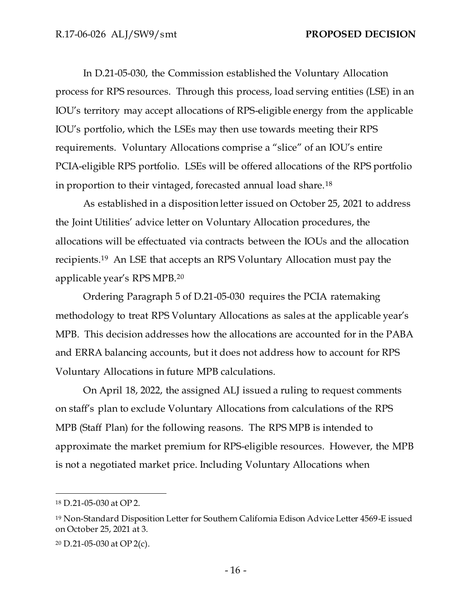In D.21-05-030, the Commission established the Voluntary Allocation process for RPS resources. Through this process, load serving entities (LSE) in an IOU's territory may accept allocations of RPS-eligible energy from the applicable IOU's portfolio, which the LSEs may then use towards meeting their RPS requirements. Voluntary Allocations comprise a "slice" of an IOU's entire PCIA-eligible RPS portfolio. LSEs will be offered allocations of the RPS portfolio in proportion to their vintaged, forecasted annual load share.<sup>18</sup>

As established in a disposition letter issued on October 25, 2021 to address the Joint Utilities' advice letter on Voluntary Allocation procedures, the allocations will be effectuated via contracts between the IOUs and the allocation recipients.<sup>19</sup> An LSE that accepts an RPS Voluntary Allocation must pay the applicable year's RPS MPB.<sup>20</sup>

Ordering Paragraph 5 of D.21-05-030 requires the PCIA ratemaking methodology to treat RPS Voluntary Allocations as sales at the applicable year's MPB. This decision addresses how the allocations are accounted for in the PABA and ERRA balancing accounts, but it does not address how to account for RPS Voluntary Allocations in future MPB calculations.

On April 18, 2022, the assigned ALJ issued a ruling to request comments on staff's plan to exclude Voluntary Allocations from calculations of the RPS MPB (Staff Plan) for the following reasons. The RPS MPB is intended to approximate the market premium for RPS-eligible resources. However, the MPB is not a negotiated market price. Including Voluntary Allocations when

<sup>18</sup> D.21-05-030 at OP 2.

<sup>19</sup> Non-Standard Disposition Letter for Southern California Edison Advice Letter 4569-E issued on October 25, 2021 at 3.

<sup>20</sup> D.21-05-030 at OP 2(c).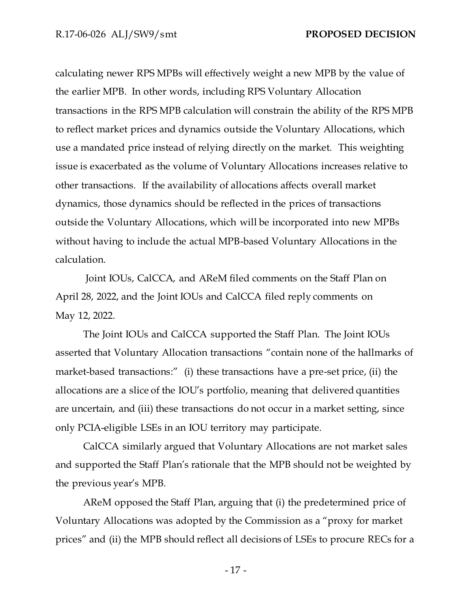calculating newer RPS MPBs will effectively weight a new MPB by the value of the earlier MPB. In other words, including RPS Voluntary Allocation transactions in the RPS MPB calculation will constrain the ability of the RPS MPB to reflect market prices and dynamics outside the Voluntary Allocations, which use a mandated price instead of relying directly on the market. This weighting issue is exacerbated as the volume of Voluntary Allocations increases relative to other transactions. If the availability of allocations affects overall market dynamics, those dynamics should be reflected in the prices of transactions outside the Voluntary Allocations, which will be incorporated into new MPBs without having to include the actual MPB-based Voluntary Allocations in the calculation.

Joint IOUs, CalCCA, and AReM filed comments on the Staff Plan on April 28, 2022, and the Joint IOUs and CalCCA filed reply comments on May 12, 2022.

The Joint IOUs and CalCCA supported the Staff Plan. The Joint IOUs asserted that Voluntary Allocation transactions "contain none of the hallmarks of market-based transactions:" (i) these transactions have a pre-set price, (ii) the allocations are a slice of the IOU's portfolio, meaning that delivered quantities are uncertain, and (iii) these transactions do not occur in a market setting, since only PCIA-eligible LSEs in an IOU territory may participate.

CalCCA similarly argued that Voluntary Allocations are not market sales and supported the Staff Plan's rationale that the MPB should not be weighted by the previous year's MPB.

AReM opposed the Staff Plan, arguing that (i) the predetermined price of Voluntary Allocations was adopted by the Commission as a "proxy for market prices" and (ii) the MPB should reflect all decisions of LSEs to procure RECs for a

- 17 -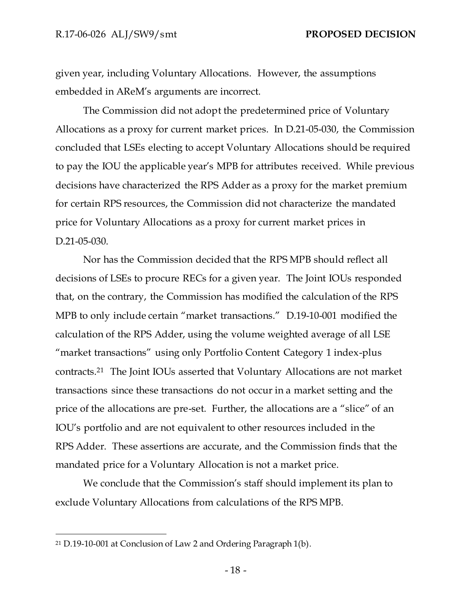given year, including Voluntary Allocations. However, the assumptions embedded in AReM's arguments are incorrect.

The Commission did not adopt the predetermined price of Voluntary Allocations as a proxy for current market prices. In D.21-05-030, the Commission concluded that LSEs electing to accept Voluntary Allocations should be required to pay the IOU the applicable year's MPB for attributes received. While previous decisions have characterized the RPS Adder as a proxy for the market premium for certain RPS resources, the Commission did not characterize the mandated price for Voluntary Allocations as a proxy for current market prices in D.21-05-030.

Nor has the Commission decided that the RPS MPB should reflect all decisions of LSEs to procure RECs for a given year. The Joint IOUs responded that, on the contrary, the Commission has modified the calculation of the RPS MPB to only include certain "market transactions." D.19-10-001 modified the calculation of the RPS Adder, using the volume weighted average of all LSE "market transactions" using only Portfolio Content Category 1 index-plus contracts.<sup>21</sup> The Joint IOUs asserted that Voluntary Allocations are not market transactions since these transactions do not occur in a market setting and the price of the allocations are pre-set. Further, the allocations are a "slice" of an IOU's portfolio and are not equivalent to other resources included in the RPS Adder. These assertions are accurate, and the Commission finds that the mandated price for a Voluntary Allocation is not a market price.

We conclude that the Commission's staff should implement its plan to exclude Voluntary Allocations from calculations of the RPS MPB.

<sup>21</sup> D.19-10-001 at Conclusion of Law 2 and Ordering Paragraph 1(b).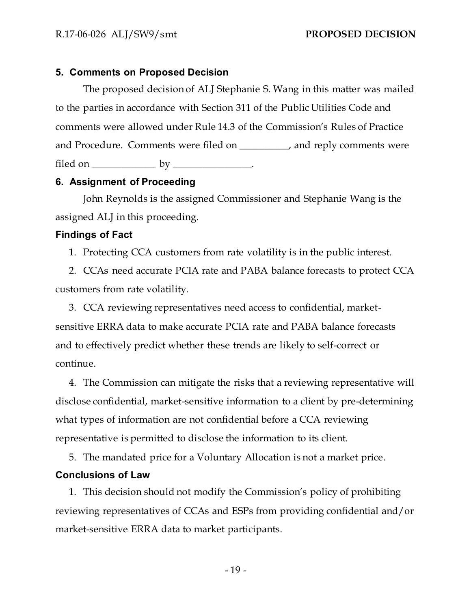## <span id="page-20-0"></span>**5. Comments on Proposed Decision**

The proposed decision of ALJ Stephanie S. Wang in this matter was mailed to the parties in accordance with Section 311 of the Public Utilities Code and comments were allowed under Rule 14.3 of the Commission's Rules of Practice and Procedure. Comments were filed on \_\_\_\_\_\_\_\_\_\_, and reply comments were filed on  $\rule{1em}{0.15mm}$  by  $\rule{1.15mm}{0.15mm}$ .

## <span id="page-20-1"></span>**6. Assignment of Proceeding**

John Reynolds is the assigned Commissioner and Stephanie Wang is the assigned ALJ in this proceeding.

### <span id="page-20-2"></span>**Findings of Fact**

1. Protecting CCA customers from rate volatility is in the public interest.

2. CCAs need accurate PCIA rate and PABA balance forecasts to protect CCA customers from rate volatility.

3. CCA reviewing representatives need access to confidential, marketsensitive ERRA data to make accurate PCIA rate and PABA balance forecasts and to effectively predict whether these trends are likely to self-correct or continue.

4. The Commission can mitigate the risks that a reviewing representative will disclose confidential, market-sensitive information to a client by pre-determining what types of information are not confidential before a CCA reviewing representative is permitted to disclose the information to its client.

5. The mandated price for a Voluntary Allocation is not a market price.

# <span id="page-20-3"></span>**Conclusions of Law**

1. This decision should not modify the Commission's policy of prohibiting reviewing representatives of CCAs and ESPs from providing confidential and/or market-sensitive ERRA data to market participants.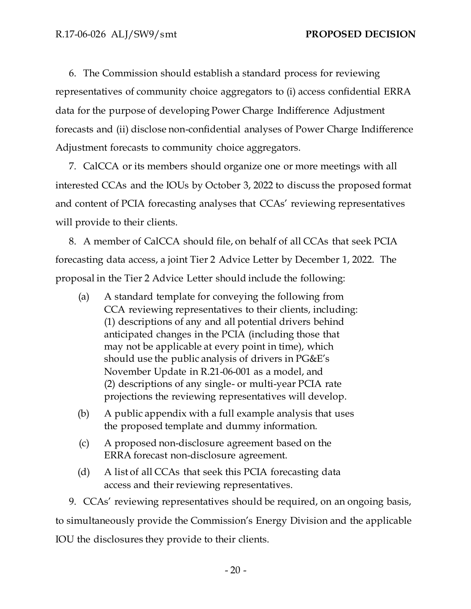6. The Commission should establish a standard process for reviewing representatives of community choice aggregators to (i) access confidential ERRA data for the purpose of developing Power Charge Indifference Adjustment forecasts and (ii) disclose non-confidential analyses of Power Charge Indifference Adjustment forecasts to community choice aggregators.

7. CalCCA or its members should organize one or more meetings with all interested CCAs and the IOUs by October 3, 2022 to discuss the proposed format and content of PCIA forecasting analyses that CCAs' reviewing representatives will provide to their clients.

8. A member of CalCCA should file, on behalf of all CCAs that seek PCIA forecasting data access, a joint Tier 2 Advice Letter by December 1, 2022. The proposal in the Tier 2 Advice Letter should include the following:

- (a) A standard template for conveying the following from CCA reviewing representatives to their clients, including: (1) descriptions of any and all potential drivers behind anticipated changes in the PCIA (including those that may not be applicable at every point in time), which should use the public analysis of drivers in PG&E's November Update in R.21-06-001 as a model, and (2) descriptions of any single- or multi-year PCIA rate projections the reviewing representatives will develop.
- (b) A public appendix with a full example analysis that uses the proposed template and dummy information.
- (c) A proposed non-disclosure agreement based on the ERRA forecast non-disclosure agreement.
- (d) A list of all CCAs that seek this PCIA forecasting data access and their reviewing representatives.

9. CCAs' reviewing representatives should be required, on an ongoing basis, to simultaneously provide the Commission's Energy Division and the applicable IOU the disclosures they provide to their clients.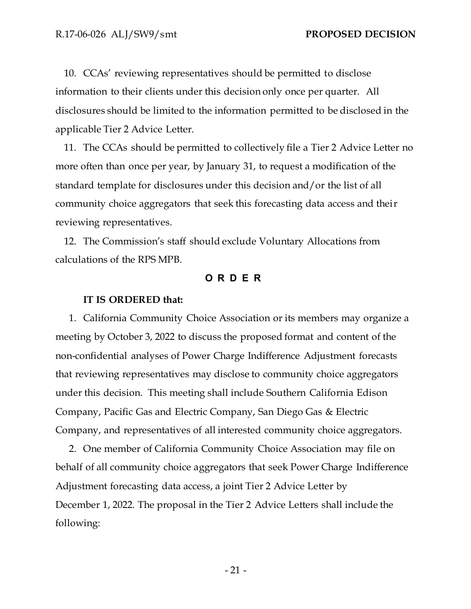10. CCAs' reviewing representatives should be permitted to disclose information to their clients under this decision only once per quarter. All disclosures should be limited to the information permitted to be disclosed in the applicable Tier 2 Advice Letter.

11. The CCAs should be permitted to collectively file a Tier 2 Advice Letter no more often than once per year, by January 31, to request a modification of the standard template for disclosures under this decision and/or the list of all community choice aggregators that seek this forecasting data access and their reviewing representatives.

<span id="page-22-0"></span>12. The Commission's staff should exclude Voluntary Allocations from calculations of the RPS MPB.

## **O R D E R**

#### **IT IS ORDERED that:**

1. California Community Choice Association or its members may organize a meeting by October 3, 2022 to discuss the proposed format and content of the non-confidential analyses of Power Charge Indifference Adjustment forecasts that reviewing representatives may disclose to community choice aggregators under this decision. This meeting shall include Southern California Edison Company, Pacific Gas and Electric Company, San Diego Gas & Electric Company, and representatives of all interested community choice aggregators.

2. One member of California Community Choice Association may file on behalf of all community choice aggregators that seek Power Charge Indifference Adjustment forecasting data access, a joint Tier 2 Advice Letter by December 1, 2022. The proposal in the Tier 2 Advice Letters shall include the following: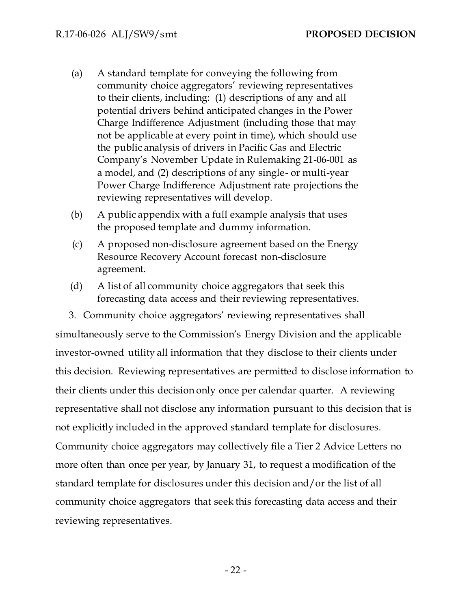- (a) A standard template for conveying the following from community choice aggregators' reviewing representatives to their clients, including: (1) descriptions of any and all potential drivers behind anticipated changes in the Power Charge Indifference Adjustment (including those that may not be applicable at every point in time), which should use the public analysis of drivers in Pacific Gas and Electric Company's November Update in Rulemaking 21-06-001 as a model, and (2) descriptions of any single- or multi-year Power Charge Indifference Adjustment rate projections the reviewing representatives will develop.
- (b) A public appendix with a full example analysis that uses the proposed template and dummy information.
- (c) A proposed non-disclosure agreement based on the Energy Resource Recovery Account forecast non-disclosure agreement.
- (d) A list of all community choice aggregators that seek this forecasting data access and their reviewing representatives.

3. Community choice aggregators' reviewing representatives shall simultaneously serve to the Commission's Energy Division and the applicable investor-owned utility all information that they disclose to their clients under this decision. Reviewing representatives are permitted to disclose information to their clients under this decision only once per calendar quarter. A reviewing representative shall not disclose any information pursuant to this decision that is not explicitly included in the approved standard template for disclosures. Community choice aggregators may collectively file a Tier 2 Advice Letters no more often than once per year, by January 31, to request a modification of the standard template for disclosures under this decision and/or the list of all community choice aggregators that seek this forecasting data access and their reviewing representatives.